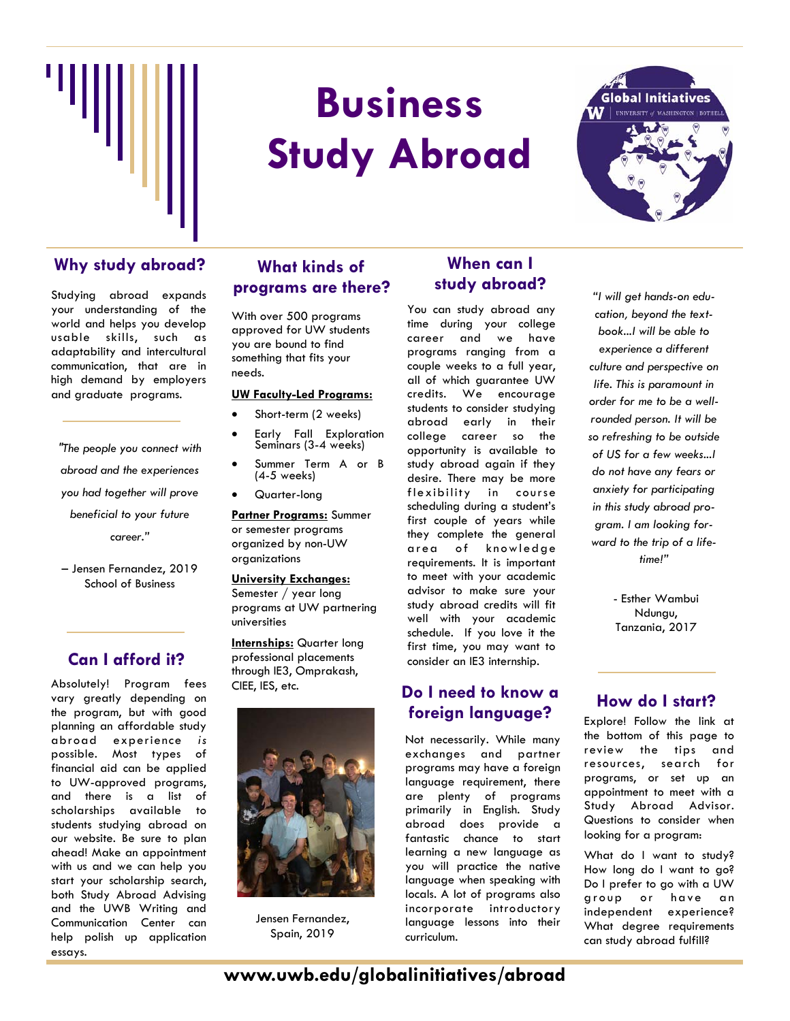

# **Business Study Abroad**



Studying abroad expands your understanding of the world and helps you develop usable skills, such as adaptability and intercultural communication, that are in high demand by employers and graduate programs.

*"The people you connect with abroad and the experiences you had together will prove beneficial to your future career."* 

– Jensen Fernandez, 2019 School of Business

#### **Can I afford it?**

Absolutely! Program fees vary greatly depending on the program, but with good planning an affordable study abroad experience *is* possible. Most types of financial aid can be applied to UW-approved programs, and there is a list of scholarships available to students studying abroad on our website. Be sure to plan ahead! Make an appointment with us and we can help you start your scholarship search, both Study Abroad Advising and the UWB Writing and Communication Center can help polish up application essays.

#### **What kinds of programs are there?**  Why study abroad? What kinds of **When can I**

With over 500 programs approved for UW students you are bound to find something that fits your needs.

#### **UW Faculty-Led Programs:**

- Short-term (2 weeks)
- Early Fall Exploration Seminars (3-4 weeks)
- Summer Term A or B (4-5 weeks)
- Quarter-long

universities

**Partner Programs:** Summer or semester programs organized by non-UW organizations

**University Exchanges:**  Semester / year long programs at UW partnering

**Internships:** Quarter long professional placements through IE3, Omprakash, CIEE, IES, etc.



Jensen Fernandez, Spain, 2019

## **study abroad?**

You can study abroad any time during your college career and we have programs ranging from a couple weeks to a full year, all of which guarantee UW credits. We encourage students to consider studying abroad early in their college career so the opportunity is available to study abroad again if they desire. There may be more flexibility in course scheduling during a student's first couple of years while they complete the general area of knowledge requirements. It is important to meet with your academic advisor to make sure your study abroad credits will fit well with your academic schedule. If you love it the first time, you may want to consider an IE3 internship.

#### **Do I need to know a foreign language? How do I start?**

Not necessarily. While many exchanges and partner programs may have a foreign language requirement, there are plenty of programs primarily in English. Study abroad does provide a fantastic chance to start learning a new language as you will practice the native language when speaking with locals. A lot of programs also incorporate introductory language lessons into their curriculum.

*"I will get hands-on education, beyond the textbook...I will be able to experience a different culture and perspective on life. This is paramount in order for me to be a wellrounded person. It will be so refreshing to be outside of US for a few weeks...I do not have any fears or anxiety for participating in this study abroad program. I am looking forward to the trip of a lifetime!"* 

> - Esther Wambui Ndungu, Tanzania, 2017

Explore! Follow the link at the bottom of this page to review the tips and resources, search for programs, or set up an appointment to meet with a Study Abroad Advisor. Questions to consider when looking for a program:

What do I want to study? How long do I want to go? Do I prefer to go with a UW group or have an independent experience? What degree requirements can study abroad fulfill?

### **www.uwb.edu/globalinitiatives/abroad**